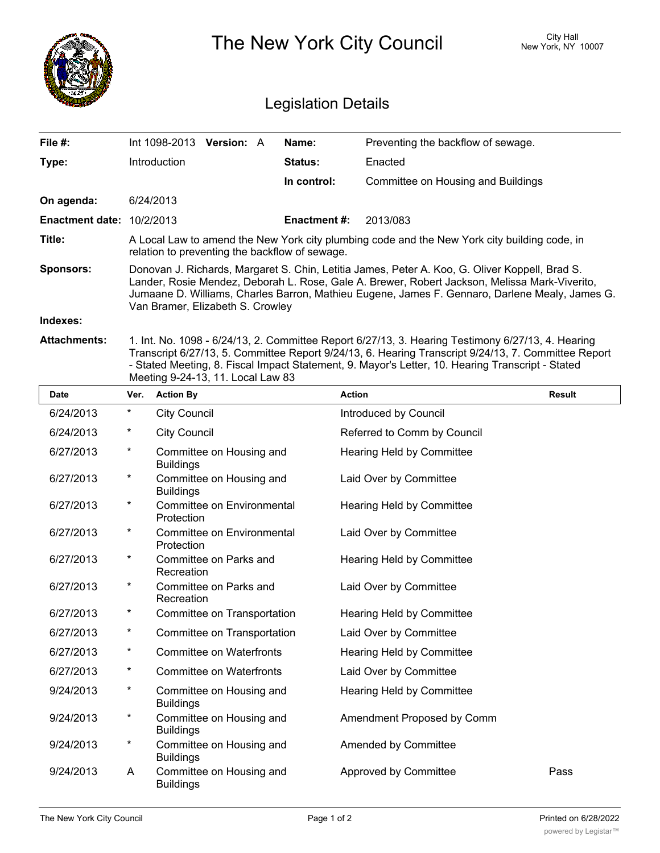|                                  | The New York City Council                                                                                                                                                                                                                                                                                                             |                     |                                    | City Hall<br>New York, NY 10007 |  |  |  |
|----------------------------------|---------------------------------------------------------------------------------------------------------------------------------------------------------------------------------------------------------------------------------------------------------------------------------------------------------------------------------------|---------------------|------------------------------------|---------------------------------|--|--|--|
| <b>Legislation Details</b>       |                                                                                                                                                                                                                                                                                                                                       |                     |                                    |                                 |  |  |  |
| File #:                          | Int 1098-2013<br><b>Version: A</b>                                                                                                                                                                                                                                                                                                    | Name:               | Preventing the backflow of sewage. |                                 |  |  |  |
| Type:                            | Introduction                                                                                                                                                                                                                                                                                                                          | <b>Status:</b>      | Enacted                            |                                 |  |  |  |
|                                  |                                                                                                                                                                                                                                                                                                                                       | In control:         | Committee on Housing and Buildings |                                 |  |  |  |
| On agenda:                       | 6/24/2013                                                                                                                                                                                                                                                                                                                             |                     |                                    |                                 |  |  |  |
| <b>Enactment date: 10/2/2013</b> |                                                                                                                                                                                                                                                                                                                                       | <b>Enactment #:</b> | 2013/083                           |                                 |  |  |  |
| Title:                           | A Local Law to amend the New York city plumbing code and the New York city building code, in<br>relation to preventing the backflow of sewage.                                                                                                                                                                                        |                     |                                    |                                 |  |  |  |
| <b>Sponsors:</b>                 | Donovan J. Richards, Margaret S. Chin, Letitia James, Peter A. Koo, G. Oliver Koppell, Brad S.<br>Lander, Rosie Mendez, Deborah L. Rose, Gale A. Brewer, Robert Jackson, Melissa Mark-Viverito,<br>Jumaane D. Williams, Charles Barron, Mathieu Eugene, James F. Gennaro, Darlene Mealy, James G.<br>Van Bramer, Elizabeth S. Crowley |                     |                                    |                                 |  |  |  |
| Indexes:                         |                                                                                                                                                                                                                                                                                                                                       |                     |                                    |                                 |  |  |  |
| <b>Attachments:</b>              | 1. Int. No. 1098 - 6/24/13, 2. Committee Report 6/27/13, 3. Hearing Testimony 6/27/13, 4. Hearing<br>Transcript 6/27/13, 5. Committee Report 9/24/13, 6. Hearing Transcript 9/24/13, 7. Committee Report                                                                                                                              |                     |                                    |                                 |  |  |  |

- Stated Meeting, 8. Fiscal Impact Statement, 9. Mayor's Letter, 10. Hearing Transcript - Stated

|             |         | Meeting 9-24-13, 11. Local Law 83               |                                  |               |
|-------------|---------|-------------------------------------------------|----------------------------------|---------------|
| <b>Date</b> | Ver.    | <b>Action By</b>                                | <b>Action</b>                    | <b>Result</b> |
| 6/24/2013   | $\star$ | <b>City Council</b>                             | Introduced by Council            |               |
| 6/24/2013   | $\ast$  | <b>City Council</b>                             | Referred to Comm by Council      |               |
| 6/27/2013   | $\star$ | Committee on Housing and<br><b>Buildings</b>    | <b>Hearing Held by Committee</b> |               |
| 6/27/2013   | $^\ast$ | Committee on Housing and<br><b>Buildings</b>    | Laid Over by Committee           |               |
| 6/27/2013   | $^\ast$ | <b>Committee on Environmental</b><br>Protection | Hearing Held by Committee        |               |
| 6/27/2013   | $^\ast$ | Committee on Environmental<br>Protection        | Laid Over by Committee           |               |
| 6/27/2013   | $\star$ | Committee on Parks and<br>Recreation            | Hearing Held by Committee        |               |
| 6/27/2013   | $^\ast$ | Committee on Parks and<br>Recreation            | Laid Over by Committee           |               |
| 6/27/2013   | $^\ast$ | Committee on Transportation                     | Hearing Held by Committee        |               |
| 6/27/2013   | $\star$ | Committee on Transportation                     | Laid Over by Committee           |               |
| 6/27/2013   | $\star$ | <b>Committee on Waterfronts</b>                 | Hearing Held by Committee        |               |
| 6/27/2013   | $^\ast$ | <b>Committee on Waterfronts</b>                 | Laid Over by Committee           |               |
| 9/24/2013   | $^\ast$ | Committee on Housing and<br><b>Buildings</b>    | <b>Hearing Held by Committee</b> |               |
| 9/24/2013   | $^\ast$ | Committee on Housing and<br><b>Buildings</b>    | Amendment Proposed by Comm       |               |
| 9/24/2013   | $\ast$  | Committee on Housing and<br><b>Buildings</b>    | Amended by Committee             |               |
| 9/24/2013   | A       | Committee on Housing and<br><b>Buildings</b>    | Approved by Committee            | Pass          |